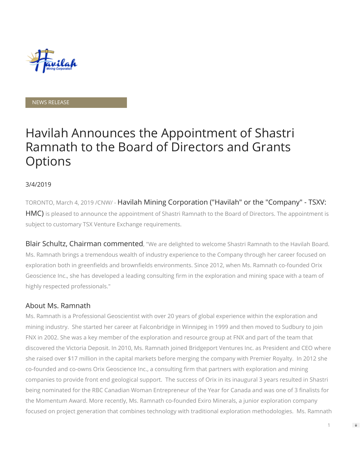

#### NEWS RELEASE

# Havilah Announces the Appointment of Shastri Ramnath to the Board of Directors and Grants **Options**

#### 3/4/2019

TORONTO, March 4, 2019 /CNW/ - Havilah Mining Corporation ("Havilah" or the "Company" - TSXV: HMC) is pleased to announce the appointment of Shastri Ramnath to the Board of Directors. The appointment is subject to customary TSX Venture Exchange requirements.

Blair Schultz, Chairman commented, "We are delighted to welcome Shastri Ramnath to the Havilah Board. Ms. Ramnath brings a tremendous wealth of industry experience to the Company through her career focused on exploration both in greenfields and brownfields environments. Since 2012, when Ms. Ramnath co-founded Orix Geoscience Inc., she has developed a leading consulting firm in the exploration and mining space with a team of highly respected professionals."

#### About Ms. Ramnath

Ms. Ramnath is a Professional Geoscientist with over 20 years of global experience within the exploration and mining industry. She started her career at Falconbridge in Winnipeg in 1999 and then moved to Sudbury to join FNX in 2002. She was a key member of the exploration and resource group at FNX and part of the team that discovered the Victoria Deposit. In 2010, Ms. Ramnath joined Bridgeport Ventures Inc. as President and CEO where she raised over \$17 million in the capital markets before merging the company with Premier Royalty. In 2012 she co-founded and co-owns Orix Geoscience Inc., a consulting firm that partners with exploration and mining companies to provide front end geological support. The success of Orix in its inaugural 3 years resulted in Shastri being nominated for the RBC Canadian Woman Entrepreneur of the Year for Canada and was one of 3 finalists for the Momentum Award. More recently, Ms. Ramnath co-founded Exiro Minerals, a junior exploration company focused on project generation that combines technology with traditional exploration methodologies. Ms. Ramnath

 $\Rightarrow$ 

1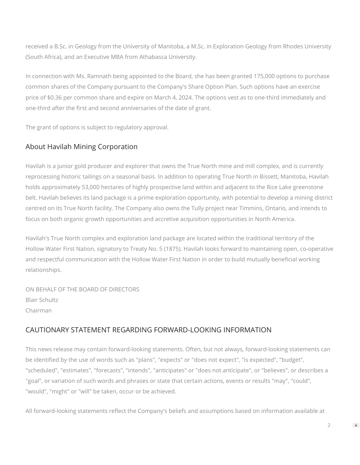received a B.Sc. in Geology from the University of Manitoba, a M.Sc. in Exploration Geology from Rhodes University (South Africa), and an Executive MBA from Athabasca University.

In connection with Ms. Ramnath being appointed to the Board, she has been granted 175,000 options to purchase common shares of the Company pursuant to the Company's Share Option Plan. Such options have an exercise price of \$0.36 per common share and expire on March 4, 2024. The options vest as to one-third immediately and one-third after the first and second anniversaries of the date of grant.

The grant of options is subject to regulatory approval.

## About Havilah Mining Corporation

Havilah is a junior gold producer and explorer that owns the True North mine and mill complex, and is currently reprocessing historic tailings on a seasonal basis. In addition to operating True North in Bissett, Manitoba, Havilah holds approximately 53,000 hectares of highly prospective land within and adjacent to the Rice Lake greenstone belt. Havilah believes its land package is a prime exploration opportunity, with potential to develop a mining district centred on its True North facility. The Company also owns the Tully project near Timmins, Ontario, and intends to focus on both organic growth opportunities and accretive acquisition opportunities in North America.

Havilah's True North complex and exploration land package are located within the traditional territory of the Hollow Water First Nation, signatory to Treaty No. 5 (1875). Havilah looks forward to maintaining open, co-operative and respectful communication with the Hollow Water First Nation in order to build mutually beneficial working relationships.

ON BEHALF OF THE BOARD OF DIRECTORS Blair Schultz Chairman

### CAUTIONARY STATEMENT REGARDING FORWARD-LOOKING INFORMATION

This news release may contain forward-looking statements. Often, but not always, forward-looking statements can be identified by the use of words such as "plans", "expects" or "does not expect", "is expected", "budget", "scheduled", "estimates", "forecasts", "intends", "anticipates" or "does not anticipate", or "believes", or describes a "goal", or variation of such words and phrases or state that certain actions, events or results "may", "could", "would", "might" or "will" be taken, occur or be achieved.

All forward-looking statements reflect the Company's beliefs and assumptions based on information available at

2

 $\Rightarrow$